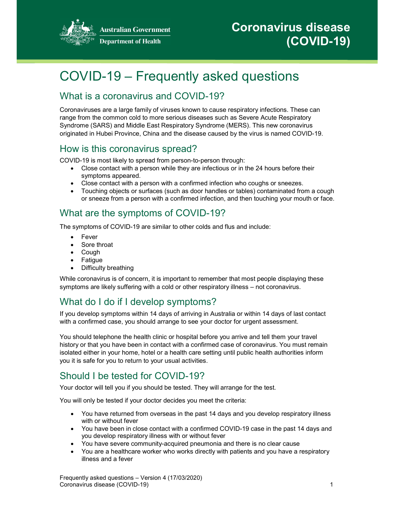

**Australian Government Department of Health** 

# COVID-19 – Frequently asked questions

# What is a coronavirus and COVID-19?

Coronaviruses are a large family of viruses known to cause respiratory infections. These can range from the common cold to more serious diseases such as Severe Acute Respiratory Syndrome (SARS) and Middle East Respiratory Syndrome (MERS). This new coronavirus originated in Hubei Province, China and the disease caused by the virus is named COVID-19.

#### How is this coronavirus spread?

COVID-19 is most likely to spread from person-to-person through:

- Close contact with a person while they are infectious or in the 24 hours before their symptoms appeared.
- Close contact with a person with a confirmed infection who coughs or sneezes.
- Touching objects or surfaces (such as door handles or tables) contaminated from a cough or sneeze from a person with a confirmed infection, and then touching your mouth or face.

# What are the symptoms of COVID-19?

The symptoms of COVID-19 are similar to other colds and flus and include:

- Fever
- Sore throat
- Cough
- **Fatigue**
- Difficulty breathing

While coronavirus is of concern, it is important to remember that most people displaying these symptoms are likely suffering with a cold or other respiratory illness – not coronavirus.

# What do I do if I develop symptoms?

If you develop symptoms within 14 days of arriving in Australia or within 14 days of last contact with a confirmed case, you should arrange to see your doctor for urgent assessment.

You should telephone the health clinic or hospital before you arrive and tell them your travel history or that you have been in contact with a confirmed case of coronavirus. You must remain isolated either in your home, hotel or a health care setting until public health authorities inform you it is safe for you to return to your usual activities.

# Should I be tested for COVID-19?

Your doctor will tell you if you should be tested. They will arrange for the test.

You will only be tested if your doctor decides you meet the criteria:

- You have returned from overseas in the past 14 days and you develop respiratory illness with or without fever
- You have been in close contact with a confirmed COVID-19 case in the past 14 days and you develop respiratory illness with or without fever
- You have severe community-acquired pneumonia and there is no clear cause
- You are a healthcare worker who works directly with patients and you have a respiratory illness and a fever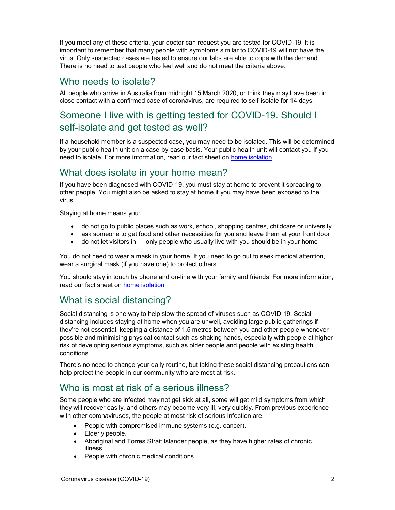If you meet any of these criteria, your doctor can request you are tested for COVID-19. It is important to remember that many people with symptoms similar to COVID-19 will not have the virus. Only suspected cases are tested to ensure our labs are able to cope with the demand. There is no need to test people who feel well and do not meet the criteria above.

#### Who needs to isolate?

All people who arrive in Australia from midnight 15 March 2020, or think they may have been in close contact with a confirmed case of coronavirus, are required to self-isolate for 14 days.

## Someone I live with is getting tested for COVID-19. Should I self-isolate and get tested as well?

If a household member is a suspected case, you may need to be isolated. This will be determined by your public health unit on a case-by-case basis. Your public health unit will contact you if you need to isolate. For more information, read our fact sheet on home isolation.

### What does isolate in your home mean?

If you have been diagnosed with COVID-19, you must stay at home to prevent it spreading to other people. You might also be asked to stay at home if you may have been exposed to the virus.

Staying at home means you:

- do not go to public places such as work, school, shopping centres, childcare or university
- ask someone to get food and other necessities for you and leave them at your front door
- $\bullet$  do not let visitors in only people who usually live with you should be in your home

You do not need to wear a mask in your home. If you need to go out to seek medical attention, wear a surgical mask (if you have one) to protect others.

You should stay in touch by phone and on-line with your family and friends. For more information, read our fact sheet on home isolation

# What is social distancing?

Social distancing is one way to help slow the spread of viruses such as COVID-19. Social distancing includes staying at home when you are unwell, avoiding large public gatherings if they're not essential, keeping a distance of 1.5 metres between you and other people whenever possible and minimising physical contact such as shaking hands, especially with people at higher risk of developing serious symptoms, such as older people and people with existing health conditions.

There's no need to change your daily routine, but taking these social distancing precautions can help protect the people in our community who are most at risk.

# Who is most at risk of a serious illness?

Some people who are infected may not get sick at all, some will get mild symptoms from which they will recover easily, and others may become very ill, very quickly. From previous experience with other coronaviruses, the people at most risk of serious infection are:

- People with compromised immune systems (e.g. cancer).
- Elderly people.
- Aboriginal and Torres Strait Islander people, as they have higher rates of chronic illness.
- People with chronic medical conditions.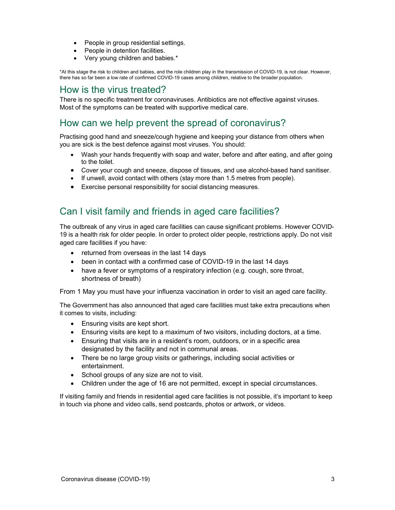- People in group residential settings.
- People in detention facilities.
- Very young children and babies.\*

\*At this stage the risk to children and babies, and the role children play in the transmission of COVID-19, is not clear. However, there has so far been a low rate of confirmed COVID-19 cases among children, relative to the broader population.

#### How is the virus treated?

There is no specific treatment for coronaviruses. Antibiotics are not effective against viruses. Most of the symptoms can be treated with supportive medical care.

### How can we help prevent the spread of coronavirus?

Practising good hand and sneeze/cough hygiene and keeping your distance from others when you are sick is the best defence against most viruses. You should:

- Wash your hands frequently with soap and water, before and after eating, and after going to the toilet.
- Cover your cough and sneeze, dispose of tissues, and use alcohol-based hand sanitiser.
- $\bullet$  If unwell, avoid contact with others (stay more than 1.5 metres from people).
- Exercise personal responsibility for social distancing measures.

### Can I visit family and friends in aged care facilities?

The outbreak of any virus in aged care facilities can cause significant problems. However COVID-19 is a health risk for older people. In order to protect older people, restrictions apply. Do not visit aged care facilities if you have:

- returned from overseas in the last 14 days
- been in contact with a confirmed case of COVID-19 in the last 14 days
- have a fever or symptoms of a respiratory infection (e.g. cough, sore throat, shortness of breath)

From 1 May you must have your influenza vaccination in order to visit an aged care facility.

The Government has also announced that aged care facilities must take extra precautions when it comes to visits, including:

- Ensuring visits are kept short.
- Ensuring visits are kept to a maximum of two visitors, including doctors, at a time.
- Ensuring that visits are in a resident's room, outdoors, or in a specific area designated by the facility and not in communal areas.
- There be no large group visits or gatherings, including social activities or entertainment.
- School groups of any size are not to visit.
- Children under the age of 16 are not permitted, except in special circumstances.

If visiting family and friends in residential aged care facilities is not possible, it's important to keep in touch via phone and video calls, send postcards, photos or artwork, or videos.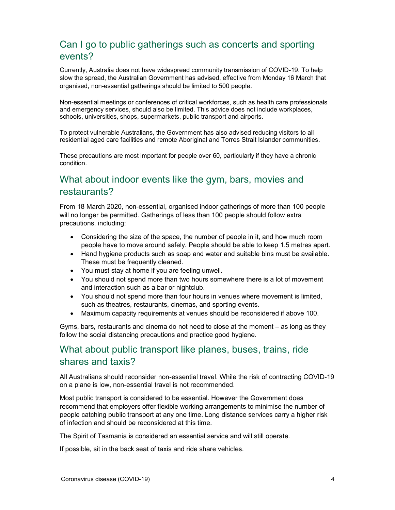# Can I go to public gatherings such as concerts and sporting events?

Currently, Australia does not have widespread community transmission of COVID-19. To help slow the spread, the Australian Government has advised, effective from Monday 16 March that organised, non-essential gatherings should be limited to 500 people.

Non-essential meetings or conferences of critical workforces, such as health care professionals and emergency services, should also be limited. This advice does not include workplaces, schools, universities, shops, supermarkets, public transport and airports.

To protect vulnerable Australians, the Government has also advised reducing visitors to all residential aged care facilities and remote Aboriginal and Torres Strait Islander communities.

These precautions are most important for people over 60, particularly if they have a chronic condition.

## What about indoor events like the gym, bars, movies and restaurants?

From 18 March 2020, non-essential, organised indoor gatherings of more than 100 people will no longer be permitted. Gatherings of less than 100 people should follow extra precautions, including:

- Considering the size of the space, the number of people in it, and how much room people have to move around safely. People should be able to keep 1.5 metres apart.
- Hand hygiene products such as soap and water and suitable bins must be available. These must be frequently cleaned.
- You must stay at home if you are feeling unwell.
- You should not spend more than two hours somewhere there is a lot of movement and interaction such as a bar or nightclub.
- You should not spend more than four hours in venues where movement is limited, such as theatres, restaurants, cinemas, and sporting events.
- Maximum capacity requirements at venues should be reconsidered if above 100.

Gyms, bars, restaurants and cinema do not need to close at the moment – as long as they follow the social distancing precautions and practice good hygiene.

#### What about public transport like planes, buses, trains, ride shares and taxis?

All Australians should reconsider non-essential travel. While the risk of contracting COVID-19 on a plane is low, non-essential travel is not recommended.

Most public transport is considered to be essential. However the Government does recommend that employers offer flexible working arrangements to minimise the number of people catching public transport at any one time. Long distance services carry a higher risk of infection and should be reconsidered at this time.

The Spirit of Tasmania is considered an essential service and will still operate.

If possible, sit in the back seat of taxis and ride share vehicles.